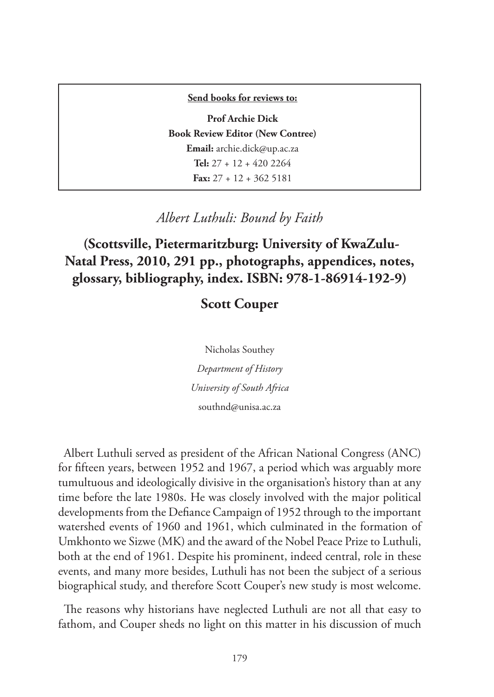## **Send books for reviews to:**

**Prof Archie Dick Book Review Editor (New Contree) Email:** archie.dick@up.ac.za **Tel:** 27 + 12 + 420 2264 **Fax:** 27 + 12 + 362 5181

*Albert Luthuli: Bound by Faith*

 **(Scottsville, Pietermaritzburg: University of KwaZulu-Natal Press, 2010, 291 pp., photographs, appendices, notes, glossary, bibliography, index. ISBN: 978-1-86914-192-9)**

## **Scott Couper**

Nicholas Southey *Department of History University of South Africa* southnd@unisa.ac.za

Albert Luthuli served as president of the African National Congress (ANC) for fifteen years, between 1952 and 1967, a period which was arguably more tumultuous and ideologically divisive in the organisation's history than at any time before the late 1980s. He was closely involved with the major political developments from the Defiance Campaign of 1952 through to the important watershed events of 1960 and 1961, which culminated in the formation of Umkhonto we Sizwe (MK) and the award of the Nobel Peace Prize to Luthuli, both at the end of 1961. Despite his prominent, indeed central, role in these events, and many more besides, Luthuli has not been the subject of a serious biographical study, and therefore Scott Couper's new study is most welcome.

The reasons why historians have neglected Luthuli are not all that easy to fathom, and Couper sheds no light on this matter in his discussion of much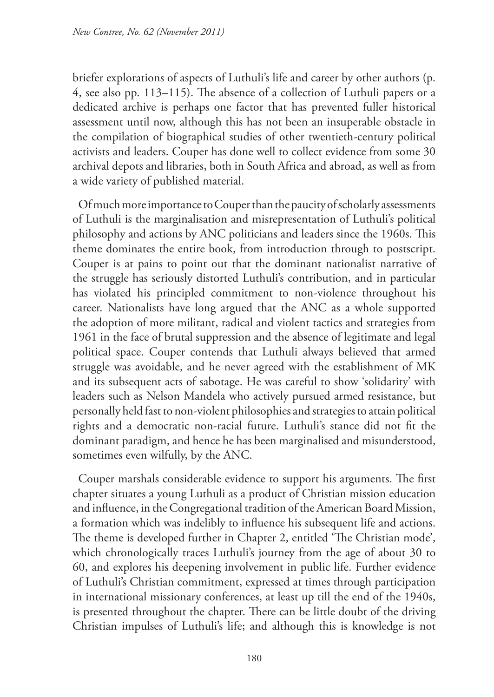briefer explorations of aspects of Luthuli's life and career by other authors (p. 4, see also pp. 113–115). The absence of a collection of Luthuli papers or a dedicated archive is perhaps one factor that has prevented fuller historical assessment until now, although this has not been an insuperable obstacle in the compilation of biographical studies of other twentieth-century political activists and leaders. Couper has done well to collect evidence from some 30 archival depots and libraries, both in South Africa and abroad, as well as from a wide variety of published material.

Of much more importance to Couper than the paucity of scholarly assessments of Luthuli is the marginalisation and misrepresentation of Luthuli's political philosophy and actions by ANC politicians and leaders since the 1960s. This theme dominates the entire book, from introduction through to postscript. Couper is at pains to point out that the dominant nationalist narrative of the struggle has seriously distorted Luthuli's contribution, and in particular has violated his principled commitment to non-violence throughout his career. Nationalists have long argued that the ANC as a whole supported the adoption of more militant, radical and violent tactics and strategies from 1961 in the face of brutal suppression and the absence of legitimate and legal political space. Couper contends that Luthuli always believed that armed struggle was avoidable, and he never agreed with the establishment of MK and its subsequent acts of sabotage. He was careful to show 'solidarity' with leaders such as Nelson Mandela who actively pursued armed resistance, but personally held fast to non-violent philosophies and strategies to attain political rights and a democratic non-racial future. Luthuli's stance did not fit the dominant paradigm, and hence he has been marginalised and misunderstood, sometimes even wilfully, by the ANC.

Couper marshals considerable evidence to support his arguments. The first chapter situates a young Luthuli as a product of Christian mission education and influence, in the Congregational tradition of the American Board Mission, a formation which was indelibly to influence his subsequent life and actions. The theme is developed further in Chapter 2, entitled 'The Christian mode', which chronologically traces Luthuli's journey from the age of about 30 to 60, and explores his deepening involvement in public life. Further evidence of Luthuli's Christian commitment, expressed at times through participation in international missionary conferences, at least up till the end of the 1940s, is presented throughout the chapter. There can be little doubt of the driving Christian impulses of Luthuli's life; and although this is knowledge is not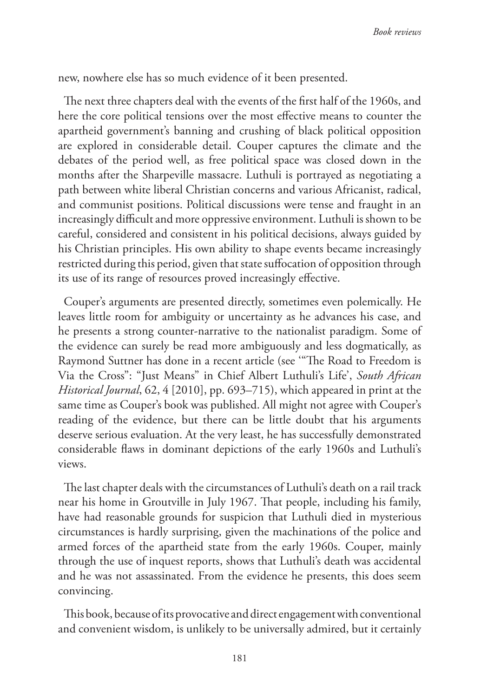new, nowhere else has so much evidence of it been presented.

The next three chapters deal with the events of the first half of the 1960s, and here the core political tensions over the most effective means to counter the apartheid government's banning and crushing of black political opposition are explored in considerable detail. Couper captures the climate and the debates of the period well, as free political space was closed down in the months after the Sharpeville massacre. Luthuli is portrayed as negotiating a path between white liberal Christian concerns and various Africanist, radical, and communist positions. Political discussions were tense and fraught in an increasingly difficult and more oppressive environment. Luthuli is shown to be careful, considered and consistent in his political decisions, always guided by his Christian principles. His own ability to shape events became increasingly restricted during this period, given that state suffocation of opposition through its use of its range of resources proved increasingly effective.

Couper's arguments are presented directly, sometimes even polemically. He leaves little room for ambiguity or uncertainty as he advances his case, and he presents a strong counter-narrative to the nationalist paradigm. Some of the evidence can surely be read more ambiguously and less dogmatically, as Raymond Suttner has done in a recent article (see '"The Road to Freedom is Via the Cross": "Just Means" in Chief Albert Luthuli's Life', *South African Historical Journal*, 62, 4 [2010], pp. 693–715), which appeared in print at the same time as Couper's book was published. All might not agree with Couper's reading of the evidence, but there can be little doubt that his arguments deserve serious evaluation. At the very least, he has successfully demonstrated considerable flaws in dominant depictions of the early 1960s and Luthuli's views.

The last chapter deals with the circumstances of Luthuli's death on a rail track near his home in Groutville in July 1967. That people, including his family, have had reasonable grounds for suspicion that Luthuli died in mysterious circumstances is hardly surprising, given the machinations of the police and armed forces of the apartheid state from the early 1960s. Couper, mainly through the use of inquest reports, shows that Luthuli's death was accidental and he was not assassinated. From the evidence he presents, this does seem convincing.

This book, because of its provocative and direct engagement with conventional and convenient wisdom, is unlikely to be universally admired, but it certainly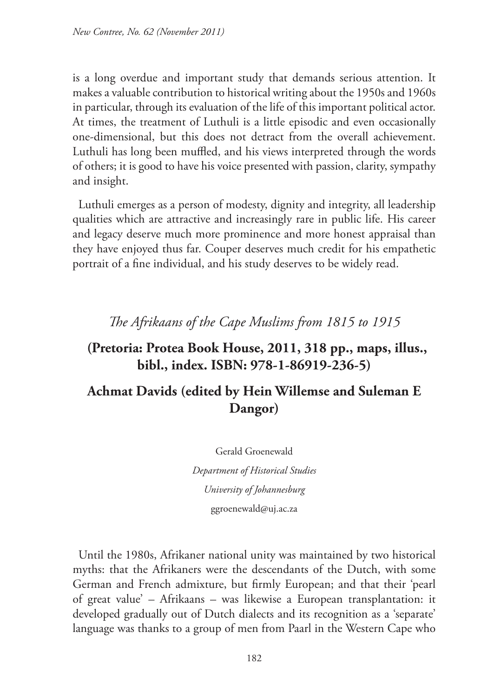is a long overdue and important study that demands serious attention. It makes a valuable contribution to historical writing about the 1950s and 1960s in particular, through its evaluation of the life of this important political actor. At times, the treatment of Luthuli is a little episodic and even occasionally one-dimensional, but this does not detract from the overall achievement. Luthuli has long been muffled, and his views interpreted through the words of others; it is good to have his voice presented with passion, clarity, sympathy and insight.

Luthuli emerges as a person of modesty, dignity and integrity, all leadership qualities which are attractive and increasingly rare in public life. His career and legacy deserve much more prominence and more honest appraisal than they have enjoyed thus far. Couper deserves much credit for his empathetic portrait of a fine individual, and his study deserves to be widely read.

*The Afrikaans of the Cape Muslims from 1815 to 1915*

## **(Pretoria: Protea Book House, 2011, 318 pp., maps, illus., bibl., index. ISBN: 978-1-86919-236-5)**

## **Achmat Davids (edited by Hein Willemse and Suleman E Dangor)**

Gerald Groenewald

*Department of Historical Studies University of Johannesburg* ggroenewald@uj.ac.za

Until the 1980s, Afrikaner national unity was maintained by two historical myths: that the Afrikaners were the descendants of the Dutch, with some German and French admixture, but firmly European; and that their 'pearl of great value' – Afrikaans – was likewise a European transplantation: it developed gradually out of Dutch dialects and its recognition as a 'separate' language was thanks to a group of men from Paarl in the Western Cape who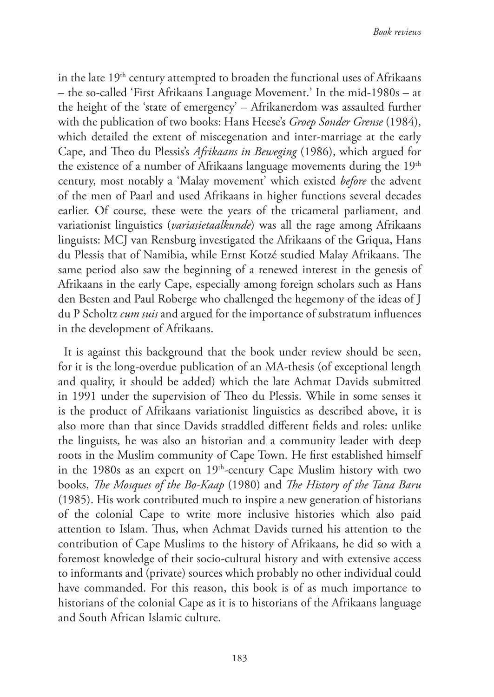in the late 19<sup>th</sup> century attempted to broaden the functional uses of Afrikaans – the so-called 'First Afrikaans Language Movement.' In the mid-1980s – at the height of the 'state of emergency' – Afrikanerdom was assaulted further with the publication of two books: Hans Heese's *Groep Sonder Grense* (1984), which detailed the extent of miscegenation and inter-marriage at the early Cape, and Theo du Plessis's *Afrikaans in Beweging* (1986), which argued for the existence of a number of Afrikaans language movements during the  $19<sup>th</sup>$ century, most notably a 'Malay movement' which existed *before* the advent of the men of Paarl and used Afrikaans in higher functions several decades earlier. Of course, these were the years of the tricameral parliament, and variationist linguistics (*variasietaalkunde*) was all the rage among Afrikaans linguists: MCJ van Rensburg investigated the Afrikaans of the Griqua, Hans du Plessis that of Namibia, while Ernst Kotzé studied Malay Afrikaans. The same period also saw the beginning of a renewed interest in the genesis of Afrikaans in the early Cape, especially among foreign scholars such as Hans den Besten and Paul Roberge who challenged the hegemony of the ideas of J du P Scholtz *cum suis* and argued for the importance of substratum influences in the development of Afrikaans.

It is against this background that the book under review should be seen, for it is the long-overdue publication of an MA-thesis (of exceptional length and quality, it should be added) which the late Achmat Davids submitted in 1991 under the supervision of Theo du Plessis. While in some senses it is the product of Afrikaans variationist linguistics as described above, it is also more than that since Davids straddled different fields and roles: unlike the linguists, he was also an historian and a community leader with deep roots in the Muslim community of Cape Town. He first established himself in the 1980s as an expert on  $19<sup>th</sup>$ -century Cape Muslim history with two books, *The Mosques of the Bo-Kaap* (1980) and *The History of the Tana Baru* (1985). His work contributed much to inspire a new generation of historians of the colonial Cape to write more inclusive histories which also paid attention to Islam. Thus, when Achmat Davids turned his attention to the contribution of Cape Muslims to the history of Afrikaans, he did so with a foremost knowledge of their socio-cultural history and with extensive access to informants and (private) sources which probably no other individual could have commanded. For this reason, this book is of as much importance to historians of the colonial Cape as it is to historians of the Afrikaans language and South African Islamic culture.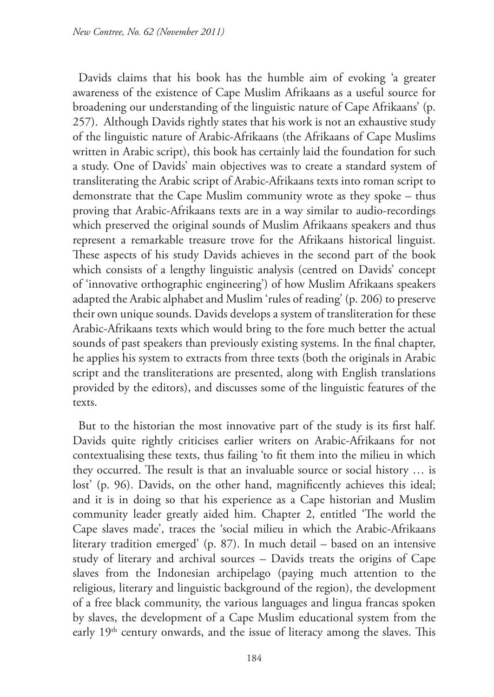Davids claims that his book has the humble aim of evoking 'a greater awareness of the existence of Cape Muslim Afrikaans as a useful source for broadening our understanding of the linguistic nature of Cape Afrikaans' (p. 257). Although Davids rightly states that his work is not an exhaustive study of the linguistic nature of Arabic-Afrikaans (the Afrikaans of Cape Muslims written in Arabic script), this book has certainly laid the foundation for such a study. One of Davids' main objectives was to create a standard system of transliterating the Arabic script of Arabic-Afrikaans texts into roman script to demonstrate that the Cape Muslim community wrote as they spoke – thus proving that Arabic-Afrikaans texts are in a way similar to audio-recordings which preserved the original sounds of Muslim Afrikaans speakers and thus represent a remarkable treasure trove for the Afrikaans historical linguist. These aspects of his study Davids achieves in the second part of the book which consists of a lengthy linguistic analysis (centred on Davids' concept of 'innovative orthographic engineering') of how Muslim Afrikaans speakers adapted the Arabic alphabet and Muslim 'rules of reading' (p. 206) to preserve their own unique sounds. Davids develops a system of transliteration for these Arabic-Afrikaans texts which would bring to the fore much better the actual sounds of past speakers than previously existing systems. In the final chapter, he applies his system to extracts from three texts (both the originals in Arabic script and the transliterations are presented, along with English translations provided by the editors), and discusses some of the linguistic features of the texts.

But to the historian the most innovative part of the study is its first half. Davids quite rightly criticises earlier writers on Arabic-Afrikaans for not contextualising these texts, thus failing 'to fit them into the milieu in which they occurred. The result is that an invaluable source or social history … is lost' (p. 96). Davids, on the other hand, magnificently achieves this ideal; and it is in doing so that his experience as a Cape historian and Muslim community leader greatly aided him. Chapter 2, entitled 'The world the Cape slaves made', traces the 'social milieu in which the Arabic-Afrikaans literary tradition emerged' (p. 87). In much detail – based on an intensive study of literary and archival sources – Davids treats the origins of Cape slaves from the Indonesian archipelago (paying much attention to the religious, literary and linguistic background of the region), the development of a free black community, the various languages and lingua francas spoken by slaves, the development of a Cape Muslim educational system from the early 19<sup>th</sup> century onwards, and the issue of literacy among the slaves. This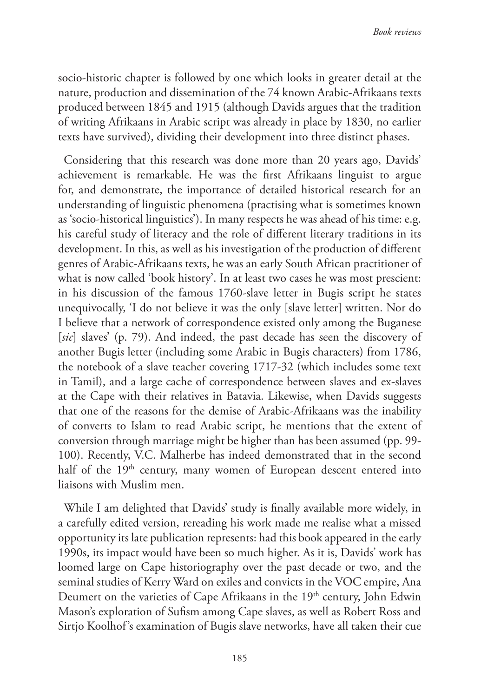socio-historic chapter is followed by one which looks in greater detail at the nature, production and dissemination of the 74 known Arabic-Afrikaans texts produced between 1845 and 1915 (although Davids argues that the tradition of writing Afrikaans in Arabic script was already in place by 1830, no earlier texts have survived), dividing their development into three distinct phases.

Considering that this research was done more than 20 years ago, Davids' achievement is remarkable. He was the first Afrikaans linguist to argue for, and demonstrate, the importance of detailed historical research for an understanding of linguistic phenomena (practising what is sometimes known as 'socio-historical linguistics'). In many respects he was ahead of his time: e.g. his careful study of literacy and the role of different literary traditions in its development. In this, as well as his investigation of the production of different genres of Arabic-Afrikaans texts, he was an early South African practitioner of what is now called 'book history'. In at least two cases he was most prescient: in his discussion of the famous 1760-slave letter in Bugis script he states unequivocally, 'I do not believe it was the only [slave letter] written. Nor do I believe that a network of correspondence existed only among the Buganese [*sic*] slaves' (p. 79). And indeed, the past decade has seen the discovery of another Bugis letter (including some Arabic in Bugis characters) from 1786, the notebook of a slave teacher covering 1717-32 (which includes some text in Tamil), and a large cache of correspondence between slaves and ex-slaves at the Cape with their relatives in Batavia. Likewise, when Davids suggests that one of the reasons for the demise of Arabic-Afrikaans was the inability of converts to Islam to read Arabic script, he mentions that the extent of conversion through marriage might be higher than has been assumed (pp. 99- 100). Recently, V.C. Malherbe has indeed demonstrated that in the second half of the 19<sup>th</sup> century, many women of European descent entered into liaisons with Muslim men.

While I am delighted that Davids' study is finally available more widely, in a carefully edited version, rereading his work made me realise what a missed opportunity its late publication represents: had this book appeared in the early 1990s, its impact would have been so much higher. As it is, Davids' work has loomed large on Cape historiography over the past decade or two, and the seminal studies of Kerry Ward on exiles and convicts in the VOC empire, Ana Deumert on the varieties of Cape Afrikaans in the 19<sup>th</sup> century, John Edwin Mason's exploration of Sufism among Cape slaves, as well as Robert Ross and Sirtjo Koolhof's examination of Bugis slave networks, have all taken their cue